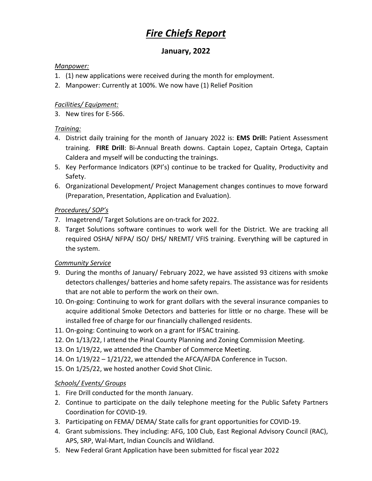# *Fire Chiefs Report*

# **January, 2022**

#### *Manpower:*

- 1. (1) new applications were received during the month for employment.
- 2. Manpower: Currently at 100%. We now have (1) Relief Position

#### *Facilities/ Equipment:*

3. New tires for E-566.

#### *Training:*

- 4. District daily training for the month of January 2022 is: **EMS Drill:** Patient Assessment training. **FIRE Drill**: Bi-Annual Breath downs. Captain Lopez, Captain Ortega, Captain Caldera and myself will be conducting the trainings.
- 5. Key Performance Indicators (KPI's) continue to be tracked for Quality, Productivity and Safety.
- 6. Organizational Development/ Project Management changes continues to move forward (Preparation, Presentation, Application and Evaluation).

## *Procedures/ SOP's*

- 7. Imagetrend/ Target Solutions are on-track for 2022.
- 8. Target Solutions software continues to work well for the District. We are tracking all required OSHA/ NFPA/ ISO/ DHS/ NREMT/ VFIS training. Everything will be captured in the system.

#### *Community Service*

- 9. During the months of January/ February 2022, we have assisted 93 citizens with smoke detectors challenges/ batteries and home safety repairs. The assistance was for residents that are not able to perform the work on their own.
- 10. On-going: Continuing to work for grant dollars with the several insurance companies to acquire additional Smoke Detectors and batteries for little or no charge. These will be installed free of charge for our financially challenged residents.
- 11. On-going: Continuing to work on a grant for IFSAC training.
- 12. On 1/13/22, I attend the Pinal County Planning and Zoning Commission Meeting.
- 13. On 1/19/22, we attended the Chamber of Commerce Meeting.
- 14. On 1/19/22 1/21/22, we attended the AFCA/AFDA Conference in Tucson.
- 15. On 1/25/22, we hosted another Covid Shot Clinic.

## *Schools/ Events/ Groups*

- 1. Fire Drill conducted for the month January.
- 2. Continue to participate on the daily telephone meeting for the Public Safety Partners Coordination for COVID-19.
- 3. Participating on FEMA/ DEMA/ State calls for grant opportunities for COVID-19.
- 4. Grant submissions. They including: AFG, 100 Club, East Regional Advisory Council (RAC), APS, SRP, Wal-Mart, Indian Councils and Wildland.
- 5. New Federal Grant Application have been submitted for fiscal year 2022